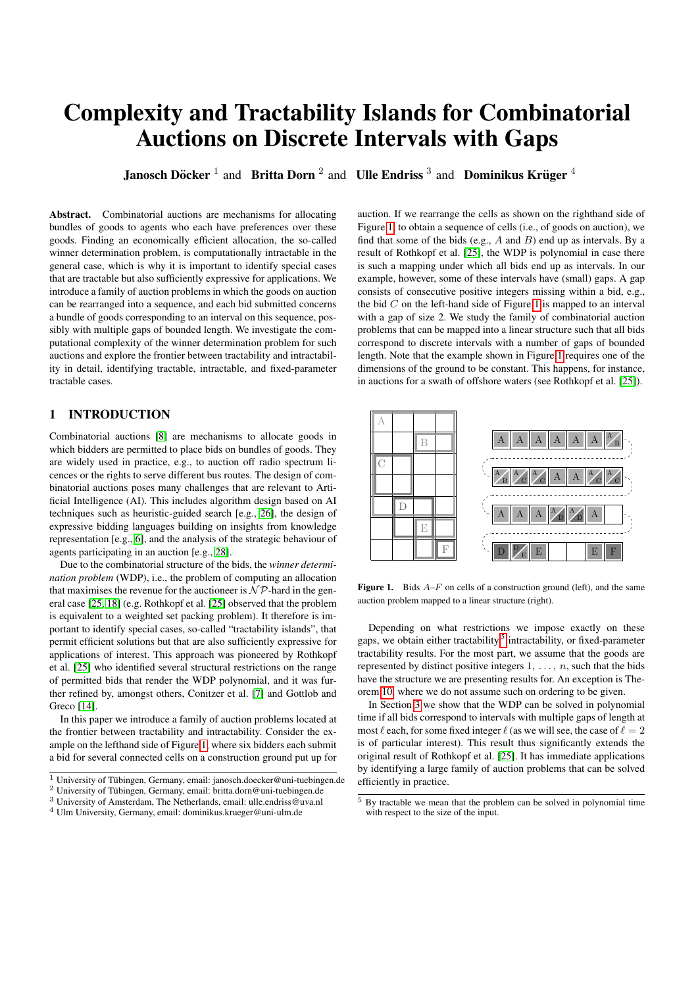# Complexity and Tractability Islands for Combinatorial Auctions on Discrete Intervals with Gaps

**Janosch Döcker** <sup>1</sup> and Britta Dorn <sup>2</sup> and Ulle Endriss <sup>3</sup> and Dominikus Krüger <sup>4</sup>

Abstract. Combinatorial auctions are mechanisms for allocating bundles of goods to agents who each have preferences over these goods. Finding an economically efficient allocation, the so-called winner determination problem, is computationally intractable in the general case, which is why it is important to identify special cases that are tractable but also sufficiently expressive for applications. We introduce a family of auction problems in which the goods on auction can be rearranged into a sequence, and each bid submitted concerns a bundle of goods corresponding to an interval on this sequence, possibly with multiple gaps of bounded length. We investigate the computational complexity of the winner determination problem for such auctions and explore the frontier between tractability and intractability in detail, identifying tractable, intractable, and fixed-parameter tractable cases.

## 1 INTRODUCTION

Combinatorial auctions [\[8\]](#page-7-0) are mechanisms to allocate goods in which bidders are permitted to place bids on bundles of goods. They are widely used in practice, e.g., to auction off radio spectrum licences or the rights to serve different bus routes. The design of combinatorial auctions poses many challenges that are relevant to Artificial Intelligence (AI). This includes algorithm design based on AI techniques such as heuristic-guided search [e.g., [26\]](#page-7-1), the design of expressive bidding languages building on insights from knowledge representation [e.g., [6\]](#page-7-2), and the analysis of the strategic behaviour of agents participating in an auction [e.g., [28\]](#page-7-3).

Due to the combinatorial structure of the bids, the *winner determination problem* (WDP), i.e., the problem of computing an allocation that maximises the revenue for the auctioneer is  $N \mathcal{P}$ -hard in the general case [\[25,](#page-7-4) [18\]](#page-7-5) (e.g. Rothkopf et al. [\[25\]](#page-7-4) observed that the problem is equivalent to a weighted set packing problem). It therefore is important to identify special cases, so-called "tractability islands", that permit efficient solutions but that are also sufficiently expressive for applications of interest. This approach was pioneered by Rothkopf et al. [\[25\]](#page-7-4) who identified several structural restrictions on the range of permitted bids that render the WDP polynomial, and it was further refined by, amongst others, Conitzer et al. [\[7\]](#page-7-6) and Gottlob and Greco [\[14\]](#page-7-7).

In this paper we introduce a family of auction problems located at the frontier between tractability and intractability. Consider the example on the lefthand side of Figure [1,](#page-0-0) where six bidders each submit a bid for several connected cells on a construction ground put up for auction. If we rearrange the cells as shown on the righthand side of Figure [1,](#page-0-0) to obtain a sequence of cells (i.e., of goods on auction), we find that some of the bids (e.g.,  $A$  and  $B$ ) end up as intervals. By a result of Rothkopf et al. [\[25\]](#page-7-4), the WDP is polynomial in case there is such a mapping under which all bids end up as intervals. In our example, however, some of these intervals have (small) gaps. A gap consists of consecutive positive integers missing within a bid, e.g., the bid  $C$  on the left-hand side of Figure [1](#page-0-0) is mapped to an interval with a gap of size 2. We study the family of combinatorial auction problems that can be mapped into a linear structure such that all bids correspond to discrete intervals with a number of gaps of bounded length. Note that the example shown in Figure [1](#page-0-0) requires one of the dimensions of the ground to be constant. This happens, for instance, in auctions for a swath of offshore waters (see Rothkopf et al. [\[25\]](#page-7-4)).



<span id="page-0-0"></span>Figure 1. Bids  $A-F$  on cells of a construction ground (left), and the same auction problem mapped to a linear structure (right).

Depending on what restrictions we impose exactly on these gaps, we obtain either tractability,<sup>[5](#page-0-1)</sup> intractability, or fixed-parameter tractability results. For the most part, we assume that the goods are represented by distinct positive integers  $1, \ldots, n$ , such that the bids have the structure we are presenting results for. An exception is Theorem [10,](#page-6-0) where we do not assume such on ordering to be given.

In Section [3](#page-1-0) we show that the WDP can be solved in polynomial time if all bids correspond to intervals with multiple gaps of length at most  $\ell$  each, for some fixed integer  $\ell$  (as we will see, the case of  $\ell = 2$ is of particular interest). This result thus significantly extends the original result of Rothkopf et al. [\[25\]](#page-7-4). It has immediate applications by identifying a large family of auction problems that can be solved efficiently in practice.

 $\frac{1}{1}$  University of Tübingen, Germany, email: janosch.doecker@uni-tuebingen.de

<sup>&</sup>lt;sup>2</sup> University of Tübingen, Germany, email: britta.dorn@uni-tuebingen.de

<sup>3</sup> University of Amsterdam, The Netherlands, email: ulle.endriss@uva.nl

<sup>4</sup> Ulm University, Germany, email: dominikus.krueger@uni-ulm.de

<span id="page-0-1"></span><sup>5</sup> By tractable we mean that the problem can be solved in polynomial time with respect to the size of the input.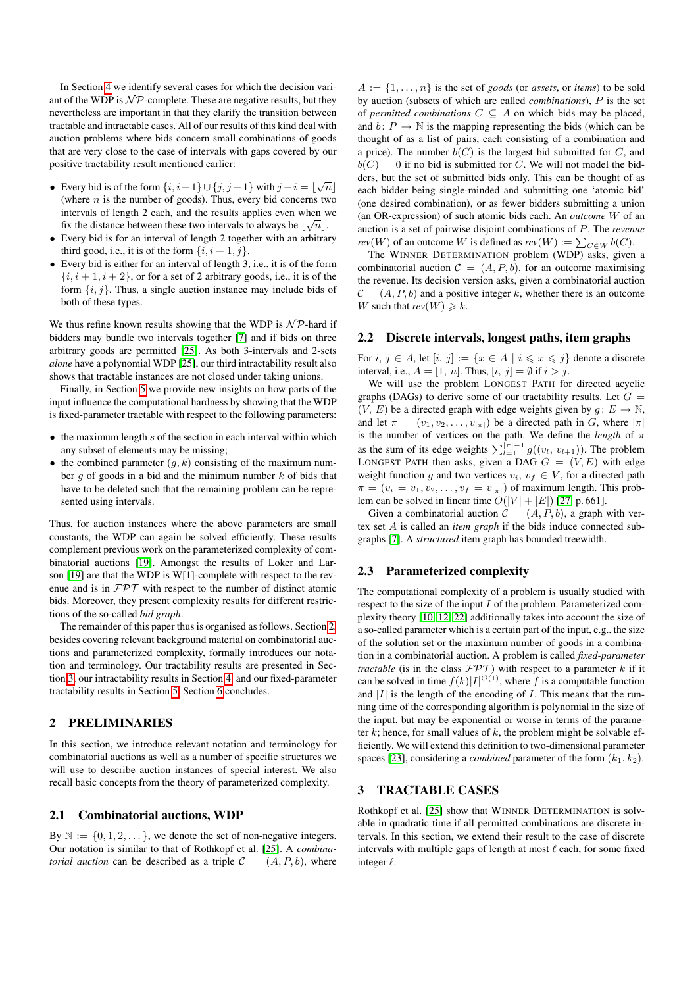In Section [4](#page-3-0) we identify several cases for which the decision variant of the WDP is  $N \mathcal{P}$ -complete. These are negative results, but they nevertheless are important in that they clarify the transition between tractable and intractable cases. All of our results of this kind deal with auction problems where bids concern small combinations of goods that are very close to the case of intervals with gaps covered by our positive tractability result mentioned earlier:

- Every bid is of the form  $\{i, i+1\} \cup \{j, j+1\}$  with  $j i = \lfloor \sqrt{n} \rfloor$ (where  $n$  is the number of goods). Thus, every bid concerns two intervals of length 2 each, and the results applies even when we  $\zeta$ fix the distance between these two intervals to always be  $\lfloor \sqrt{n} \rfloor$ .
- Every bid is for an interval of length 2 together with an arbitrary third good, i.e., it is of the form  $\{i, i+1, j\}$ .
- Every bid is either for an interval of length 3, i.e., it is of the form  ${i, i+1, i+2}$ , or for a set of 2 arbitrary goods, i.e., it is of the form  $\{i, j\}$ . Thus, a single auction instance may include bids of both of these types.

We thus refine known results showing that the WDP is  $N \mathcal{P}$ -hard if bidders may bundle two intervals together [\[7\]](#page-7-6) and if bids on three arbitrary goods are permitted [\[25\]](#page-7-4). As both 3-intervals and 2-sets *alone* have a polynomial WDP [\[25\]](#page-7-4), our third intractability result also shows that tractable instances are not closed under taking unions.

Finally, in Section [5](#page-5-0) we provide new insights on how parts of the input influence the computational hardness by showing that the WDP is fixed-parameter tractable with respect to the following parameters:

- $\bullet$  the maximum length s of the section in each interval within which any subset of elements may be missing;
- the combined parameter  $(q, k)$  consisting of the maximum number  $q$  of goods in a bid and the minimum number  $k$  of bids that have to be deleted such that the remaining problem can be represented using intervals.

Thus, for auction instances where the above parameters are small constants, the WDP can again be solved efficiently. These results complement previous work on the parameterized complexity of combinatorial auctions [\[19\]](#page-7-8). Amongst the results of Loker and Larson [\[19\]](#page-7-8) are that the WDP is W[1]-complete with respect to the revenue and is in FPT with respect to the number of distinct atomic bids. Moreover, they present complexity results for different restrictions of the so-called *bid graph*.

The remainder of this paper thus is organised as follows. Section [2,](#page-1-1) besides covering relevant background material on combinatorial auctions and parameterized complexity, formally introduces our notation and terminology. Our tractability results are presented in Section [3,](#page-1-0) our intractability results in Section [4,](#page-3-0) and our fixed-parameter tractability results in Section [5.](#page-5-0) Section [6](#page-6-1) concludes.

## <span id="page-1-1"></span>2 PRELIMINARIES

In this section, we introduce relevant notation and terminology for combinatorial auctions as well as a number of specific structures we will use to describe auction instances of special interest. We also recall basic concepts from the theory of parameterized complexity.

#### 2.1 Combinatorial auctions, WDP

By  $\mathbb{N} := \{0, 1, 2, \dots\}$ , we denote the set of non-negative integers. Our notation is similar to that of Rothkopf et al. [\[25\]](#page-7-4). A *combinatorial auction* can be described as a triple  $C = (A, P, b)$ , where

 $A := \{1, \ldots, n\}$  is the set of *goods* (or *assets*, or *items*) to be sold by auction (subsets of which are called *combinations*), P is the set of *permitted combinations*  $C \subseteq A$  on which bids may be placed, and  $b: P \to \mathbb{N}$  is the mapping representing the bids (which can be thought of as a list of pairs, each consisting of a combination and a price). The number  $b(C)$  is the largest bid submitted for C, and  $b(C) = 0$  if no bid is submitted for C. We will not model the bidders, but the set of submitted bids only. This can be thought of as each bidder being single-minded and submitting one 'atomic bid' (one desired combination), or as fewer bidders submitting a union (an OR-expression) of such atomic bids each. An *outcome* W of an auction is a set of pairwise disjoint combinations of P. The *revenue rev*(*W*) of an outcome *W* is defined as  $rev(W) := \sum_{C \in W} b(C)$ .

The WINNER DETERMINATION problem (WDP) asks, given a combinatorial auction  $C = (A, P, b)$ , for an outcome maximising the revenue. Its decision version asks, given a combinatorial auction  $\mathcal{C} = (A, P, b)$  and a positive integer k, whether there is an outcome W such that  $rev(W) \ge k$ .

#### 2.2 Discrete intervals, longest paths, item graphs

For  $i, j \in A$ , let  $[i, j] := \{x \in A \mid i \leq x \leq j\}$  denote a discrete interval, i.e.,  $A = [1, n]$ . Thus,  $[i, j] = \emptyset$  if  $i > j$ .

We will use the problem LONGEST PATH for directed acyclic graphs (DAGs) to derive some of our tractability results. Let  $G =$  $(V, E)$  be a directed graph with edge weights given by  $g: E \to \mathbb{N}$ , and let  $\pi = (v_1, v_2, \dots, v_{|\pi|})$  be a directed path in G, where  $|\pi|$ is the number of vertices on the path. We define the *length* of  $\pi$ as the sum of its edge weights  $\sum_{l=1}^{|\pi|-1} g((v_l, v_{l+1}))$ . The problem LONGEST PATH then asks, given a DAG  $G = (V, E)$  with edge weight function g and two vertices  $v_i, v_f \in V$ , for a directed path  $\pi = (v_i = v_1, v_2, \dots, v_f = v_{|\pi|})$  of maximum length. This problem can be solved in linear time  $O(|V| + |E|)$  [\[27,](#page-7-9) p. 661].

Given a combinatorial auction  $C = (A, P, b)$ , a graph with vertex set A is called an *item graph* if the bids induce connected subgraphs [\[7\]](#page-7-6). A *structured* item graph has bounded treewidth.

#### 2.3 Parameterized complexity

The computational complexity of a problem is usually studied with respect to the size of the input  $I$  of the problem. Parameterized complexity theory [\[10,](#page-7-10) [12,](#page-7-11) [22\]](#page-7-12) additionally takes into account the size of a so-called parameter which is a certain part of the input, e.g., the size of the solution set or the maximum number of goods in a combination in a combinatorial auction. A problem is called *fixed-parameter tractable* (is in the class  $\mathcal{FPT}$ ) with respect to a parameter k if it can be solved in time  $f(k)|I|^{\mathcal{O}(1)}$ , where f is a computable function and  $|I|$  is the length of the encoding of I. This means that the running time of the corresponding algorithm is polynomial in the size of the input, but may be exponential or worse in terms of the parameter  $k$ ; hence, for small values of  $k$ , the problem might be solvable efficiently. We will extend this definition to two-dimensional parameter spaces [\[23\]](#page-7-13), considering a *combined* parameter of the form  $(k_1, k_2)$ .

## <span id="page-1-0"></span>3 TRACTABLE CASES

Rothkopf et al. [\[25\]](#page-7-4) show that WINNER DETERMINATION is solvable in quadratic time if all permitted combinations are discrete intervals. In this section, we extend their result to the case of discrete intervals with multiple gaps of length at most  $\ell$  each, for some fixed integer  $\ell$ .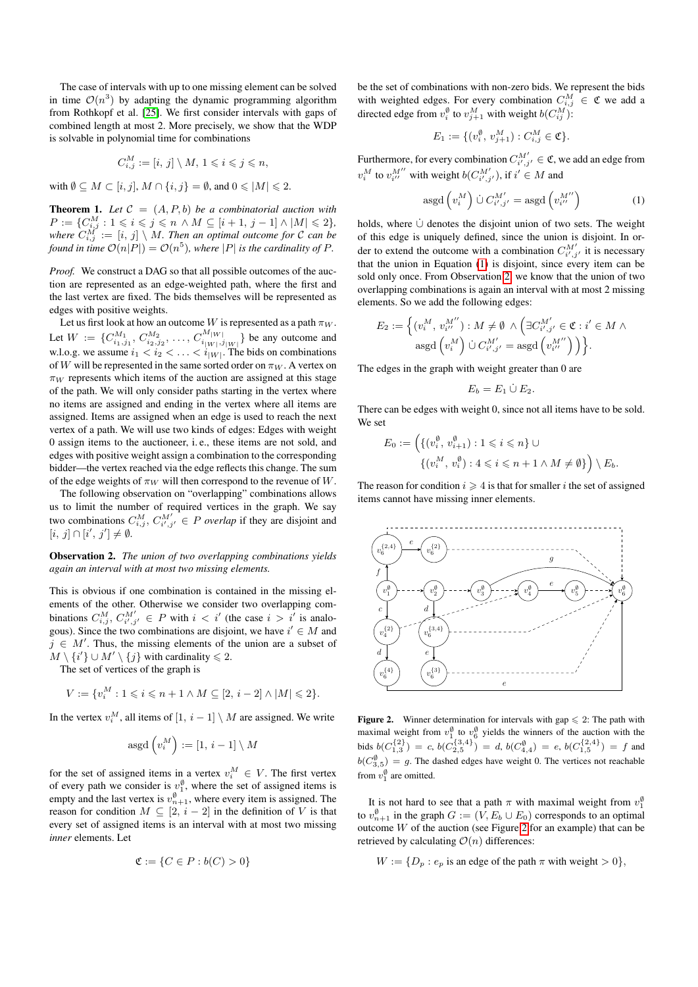The case of intervals with up to one missing element can be solved in time  $\mathcal{O}(n^3)$  by adapting the dynamic programming algorithm from Rothkopf et al. [\[25\]](#page-7-4). We first consider intervals with gaps of combined length at most 2. More precisely, we show that the WDP is solvable in polynomial time for combinations

$$
C_{i,j}^M := [i, j] \setminus M, 1 \leqslant i \leqslant j \leqslant n,
$$

with  $\emptyset \subseteq M \subset [i, j], M \cap \{i, j\} = \emptyset$ , and  $0 \leq |M| \leq 2$ .

<span id="page-2-3"></span>**Theorem 1.** Let  $C = (A, P, b)$  be a combinatorial auction with  $P := \{C_{i,j}^M : 1 \leq i \leq j \leq n \land M \subseteq [i+1, j-1] \land |M| \leq 2\},\$ where  $C_{i,j}^M := [i, j] \setminus M$ . Then an optimal outcome for  $\mathcal C$  can be *found in time*  $\mathcal{O}(n|P|) = \mathcal{O}(n^5)$ , where  $|P|$  is the cardinality of P.

*Proof.* We construct a DAG so that all possible outcomes of the auction are represented as an edge-weighted path, where the first and the last vertex are fixed. The bids themselves will be represented as edges with positive weights.

Let us first look at how an outcome W is represented as a path  $\pi_W$ . Let  $W := \{C_{i_1,j_1}^{M_1}, C_{i_2,j_2}^{M_2}, \ldots, C_{i_{|W|},j_{|W|}}^{M_{|W|}}\}$  be any outcome and w.l.o.g. we assume  $i_1 < i_2 < \ldots < i_{|W|}$ . The bids on combinations of W will be represented in the same sorted order on  $\pi_W$ . A vertex on  $\pi_W$  represents which items of the auction are assigned at this stage of the path. We will only consider paths starting in the vertex where no items are assigned and ending in the vertex where all items are assigned. Items are assigned when an edge is used to reach the next vertex of a path. We will use two kinds of edges: Edges with weight 0 assign items to the auctioneer, i. e., these items are not sold, and edges with positive weight assign a combination to the corresponding bidder—the vertex reached via the edge reflects this change. The sum of the edge weights of  $\pi_W$  will then correspond to the revenue of W.

The following observation on "overlapping" combinations allows us to limit the number of required vertices in the graph. We say two combinations  $C_{i,j}^M$ ,  $C_{i',j'}^{M'} \in P$  *overlap* if they are disjoint and  $[i, j] \cap [i', j'] \neq \emptyset.$ 

<span id="page-2-1"></span>Observation 2. *The union of two overlapping combinations yields again an interval with at most two missing elements.*

This is obvious if one combination is contained in the missing elements of the other. Otherwise we consider two overlapping combinations  $C_{i,j}^M$ ,  $C_{i',j'}^M$   $\in$  P with  $i < i'$  (the case  $i > i'$  is analogous). Since the two combinations are disjoint, we have  $i' \in M$  and  $j \in M'$ . Thus, the missing elements of the union are a subset of  $M \setminus \{i'\} \cup M' \setminus \{j\}$  with cardinality  $\leq 2$ .

The set of vertices of the graph is

$$
V := \{v_i^M : 1 \leqslant i \leqslant n + 1 \wedge M \subseteq [2, i - 2] \wedge |M| \leqslant 2\}.
$$

In the vertex  $v_i^M$ , all items of  $[1, i - 1] \setminus M$  are assigned. We write

$$
\operatorname{asgd}\left(v_{i}^{M}\right):=[1,\,i-1]\setminus M
$$

for the set of assigned items in a vertex  $v_i^M \in V$ . The first vertex of every path we consider is  $v_1^{\emptyset}$ , where the set of assigned items is empty and the last vertex is  $v_{n+1}^{\emptyset}$ , where every item is assigned. The reason for condition  $M \subseteq [2, i - 2]$  in the definition of V is that every set of assigned items is an interval with at most two missing *inner* elements. Let

$$
\mathfrak{C} := \{ C \in P : b(C) > 0 \}
$$

be the set of combinations with non-zero bids. We represent the bids with weighted edges. For every combination  $C_{i,j}^M \in \mathfrak{C}$  we add a directed edge from  $v_i^{\emptyset}$  to  $v_{j+1}^M$  with weight  $b(C_{ij}^M)$ :

$$
E_1 := \{ (v_i^{\emptyset}, v_{j+1}^M) : C_{i,j}^M \in \mathfrak{C} \}.
$$

Furthermore, for every combination  $C_{i',j'}^{M'} \in \mathfrak{C}$ , we add an edge from  $v_i^M$  to  $v_{i''}^{M''}$  with weight  $b(C_{i',j'}^{M'})$ , if  $i' \in M$  and

<span id="page-2-0"></span>
$$
\operatorname{asgd}\left(v_i^M\right)\dot{\cup} C_{i',j'}^{M'} = \operatorname{asgd}\left(v_{i''}^{M''}\right) \tag{1}
$$

holds, where  $\dot{\cup}$  denotes the disjoint union of two sets. The weight of this edge is uniquely defined, since the union is disjoint. In order to extend the outcome with a combination  $C_{i',j'}^{M'}$  it is necessary that the union in Equation [\(1\)](#page-2-0) is disjoint, since every item can be sold only once. From Observation [2,](#page-2-1) we know that the union of two overlapping combinations is again an interval with at most 2 missing elements. So we add the following edges:

$$
E_2 := \left\{ (v_i^M, v_{i''}^{M'}) : M \neq \emptyset \land \left( \exists C_{i',j'}^{M'} \in \mathfrak{C} : i' \in M \land \operatorname{asgd} \left( v_{i'}^{M'} \right) \cup C_{i',j'}^{M'} = \operatorname{asgd} \left( v_{i''}^{M''} \right) \right) \right\}.
$$

The edges in the graph with weight greater than 0 are

$$
E_b=E_1\dot{\cup} E_2.
$$

There can be edges with weight 0, since not all items have to be sold. We set

$$
E_0 := \left( \{ (v_i^{\emptyset}, v_{i+1}^{\emptyset}) : 1 \leq i \leq n \} \cup \left\{ (v_i^M, v_i^{\emptyset}) : 4 \leq i \leq n+1 \land M \neq \emptyset \} \right) \setminus E_b.
$$

The reason for condition  $i \geq 4$  is that for smaller i the set of assigned items cannot have missing inner elements.



<span id="page-2-2"></span>**Figure 2.** Winner determination for intervals with gap  $\leq 2$ : The path with maximal weight from  $v_1^{\emptyset}$  to  $v_6^{\emptyset}$  yields the winners of the auction with the bids  $b(C_{1,3}^{\{2\}}) = c$ ,  $b(C_{2,5}^{\{3,4\}}) = d$ ,  $b(C_{4,4}^{\emptyset}) = e$ ,  $b(C_{1,5}^{\{2,4\}}) = f$  and  $b(C_{3,5}^{\emptyset}) = g$ . The dashed edges have weight 0. The vertices not reachable from  $v_1^{\emptyset}$  are omitted.

It is not hard to see that a path  $\pi$  with maximal weight from  $v_1^{\emptyset}$ to  $v_{n+1}^{\emptyset}$  in the graph  $G := (V, E_b \cup E_0)$  corresponds to an optimal outcome  $W$  of the auction (see Figure [2](#page-2-2) for an example) that can be retrieved by calculating  $\mathcal{O}(n)$  differences:

 $W := \{D_p : e_p \text{ is an edge of the path } \pi \text{ with weight } > 0\},\$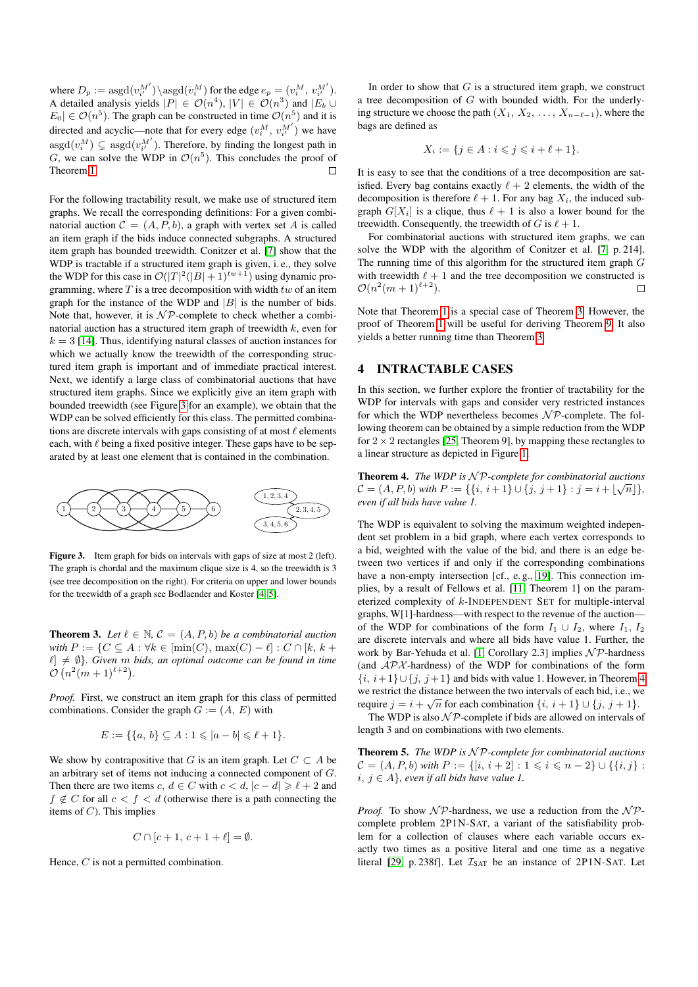where  $D_p := \mathrm{asgd}(v^M_{i'}) \backslash \mathrm{asgd}(v^M_{i})$  for the edge  $e_p = (v^M_i, v^M_{i'}).$ A detailed analysis yields  $|P| \in \mathcal{O}(n^4)$ ,  $|V| \in \mathcal{O}(n^3)$  and  $|E_b \cup$  $|E_0| \in \mathcal{O}(n^5)$ . The graph can be constructed in time  $\mathcal{O}(n^5)$  and it is directed and acyclic—note that for every edge  $(v_i^M, v_{i'}^{M'})$  we have  $\mathrm{asgd}(v_i^M) \subsetneq \mathrm{asgd}(v_{i'}^{M'})$ . Therefore, by finding the longest path in G, we can solve the WDP in  $\mathcal{O}(n^5)$ . This concludes the proof of Theorem [1.](#page-2-3)

For the following tractability result, we make use of structured item graphs. We recall the corresponding definitions: For a given combinatorial auction  $C = (A, P, b)$ , a graph with vertex set A is called an item graph if the bids induce connected subgraphs. A structured item graph has bounded treewidth. Conitzer et al. [\[7\]](#page-7-6) show that the WDP is tractable if a structured item graph is given, i. e., they solve the WDP for this case in  $\mathcal{O}(|T|^2(|B|+1)^{tw+1})$  using dynamic programming, where  $T$  is a tree decomposition with width  $tw$  of an item graph for the instance of the WDP and  $|B|$  is the number of bids. Note that, however, it is  $\mathcal{NP}$ -complete to check whether a combinatorial auction has a structured item graph of treewidth  $k$ , even for  $k = 3$  [\[14\]](#page-7-7). Thus, identifying natural classes of auction instances for which we actually know the treewidth of the corresponding structured item graph is important and of immediate practical interest. Next, we identify a large class of combinatorial auctions that have structured item graphs. Since we explicitly give an item graph with bounded treewidth (see Figure [3](#page-3-1) for an example), we obtain that the WDP can be solved efficiently for this class. The permitted combinations are discrete intervals with gaps consisting of at most  $\ell$  elements each, with  $\ell$  being a fixed positive integer. These gaps have to be separated by at least one element that is contained in the combination.



<span id="page-3-1"></span>Figure 3. Item graph for bids on intervals with gaps of size at most 2 (left). The graph is chordal and the maximum clique size is 4, so the treewidth is 3 (see tree decomposition on the right). For criteria on upper and lower bounds for the treewidth of a graph see Bodlaender and Koster [\[4,](#page-7-14) [5\]](#page-7-15).

<span id="page-3-2"></span>**Theorem 3.** Let  $\ell \in \mathbb{N}$ ,  $\mathcal{C} = (A, P, b)$  *be a combinatorial auction with*  $P := \{ C \subseteq A : \forall k \in [\min(C), \max(C) - \ell] : C \cap [k, k + \ell] \}$  $\ell \neq \emptyset$ *}. Given* m *bids, an optimal outcome can be found in time*  $\mathcal{O}(n^2(m+1)^{\ell+2}).$ 

*Proof.* First, we construct an item graph for this class of permitted combinations. Consider the graph  $G := (A, E)$  with

$$
E := \{ \{a, b\} \subseteq A : 1 \leq |a - b| \leq \ell + 1 \}.
$$

We show by contrapositive that G is an item graph. Let  $C \subset A$  be an arbitrary set of items not inducing a connected component of G. Then there are two items c,  $d \in C$  with  $c < d$ ,  $|c - d| \ge \ell + 2$  and  $f \notin C$  for all  $c < f < d$  (otherwise there is a path connecting the items of  $C$ ). This implies

$$
C \cap [c+1, c+1+\ell] = \emptyset.
$$

Hence, C is not a permitted combination.

In order to show that  $G$  is a structured item graph, we construct a tree decomposition of  $G$  with bounded width. For the underlying structure we choose the path  $(X_1, X_2, \ldots, X_{n-\ell-1})$ , where the bags are defined as

$$
X_i := \{ j \in A : i \leqslant j \leqslant i + \ell + 1 \}.
$$

It is easy to see that the conditions of a tree decomposition are satisfied. Every bag contains exactly  $\ell + 2$  elements, the width of the decomposition is therefore  $\ell + 1$ . For any bag  $X_i$ , the induced subgraph  $G[X_i]$  is a clique, thus  $\ell + 1$  is also a lower bound for the treewidth. Consequently, the treewidth of G is  $\ell + 1$ .

For combinatorial auctions with structured item graphs, we can solve the WDP with the algorithm of Conitzer et al. [\[7,](#page-7-6) p. 214]. The running time of this algorithm for the structured item graph G with treewidth  $\ell + 1$  and the tree decomposition we constructed is  $\mathcal{O}(n^2(m+1)^{\ell+2}).$  $\Box$ 

Note that Theorem [1](#page-2-3) is a special case of Theorem [3.](#page-3-2) However, the proof of Theorem [1](#page-2-3) will be useful for deriving Theorem [9.](#page-5-1) It also yields a better running time than Theorem [3.](#page-3-2)

## <span id="page-3-0"></span>4 INTRACTABLE CASES

In this section, we further explore the frontier of tractability for the WDP for intervals with gaps and consider very restricted instances for which the WDP nevertheless becomes  $N\mathcal{P}$ -complete. The following theorem can be obtained by a simple reduction from the WDP for  $2 \times 2$  rectangles [\[25,](#page-7-4) Theorem 9], by mapping these rectangles to a linear structure as depicted in Figure [1.](#page-0-0)

<span id="page-3-3"></span>Theorem 4. *The WDP is* N P*-complete for combinatorial auctions* √  $\mathcal{C} = (A, P, b)$  *with*  $P := \{ \{i, i + 1\} \cup \{j, j + 1\} : j = i + \lfloor \sqrt{n} \rfloor \},\$ *even if all bids have value 1.*

The WDP is equivalent to solving the maximum weighted independent set problem in a bid graph, where each vertex corresponds to a bid, weighted with the value of the bid, and there is an edge between two vertices if and only if the corresponding combinations have a non-empty intersection [cf., e.g., [19\]](#page-7-8). This connection implies, by a result of Fellows et al. [\[11,](#page-7-16) Theorem 1] on the parameterized complexity of k-INDEPENDENT SET for multiple-interval graphs, W[1]-hardness—with respect to the revenue of the auction of the WDP for combinations of the form  $I_1 \cup I_2$ , where  $I_1, I_2$ are discrete intervals and where all bids have value 1. Further, the work by Bar-Yehuda et al. [\[1,](#page-7-17) Corollary 2.3] implies  $N \mathcal{P}$ -hardness (and  $APX$ -hardness) of the WDP for combinations of the form  $\{i, i+1\} \cup \{j, j+1\}$  and bids with value 1. However, in Theorem [4](#page-3-3) we restrict the distance between the two intervals of each bid, i.e., we require  $j = i + \sqrt{n}$  for each combination  $\{i, i + 1\} \cup \{j, j + 1\}.$ 

The WDP is also  $N\mathcal{P}$ -complete if bids are allowed on intervals of length 3 and on combinations with two elements.

<span id="page-3-4"></span>Theorem 5. *The WDP is*  $N$ *P*-complete for combinatorial auctions  $C = (A, P, b)$  *with*  $P := \{ [i, i + 2] : 1 \leq i \leq n - 2 \} \cup \{ \{i, j\} :$ *i*, *j* ∈ *A}, even if all bids have value 1.* 

*Proof.* To show  $\mathcal{NP}$ -hardness, we use a reduction from the  $\mathcal{NP}$ complete problem 2P1N-SAT, a variant of the satisfiability problem for a collection of clauses where each variable occurs exactly two times as a positive literal and one time as a negative literal [\[29,](#page-7-18) p. 238f]. Let  $\mathcal{I}_{SAT}$  be an instance of 2P1N-SAT. Let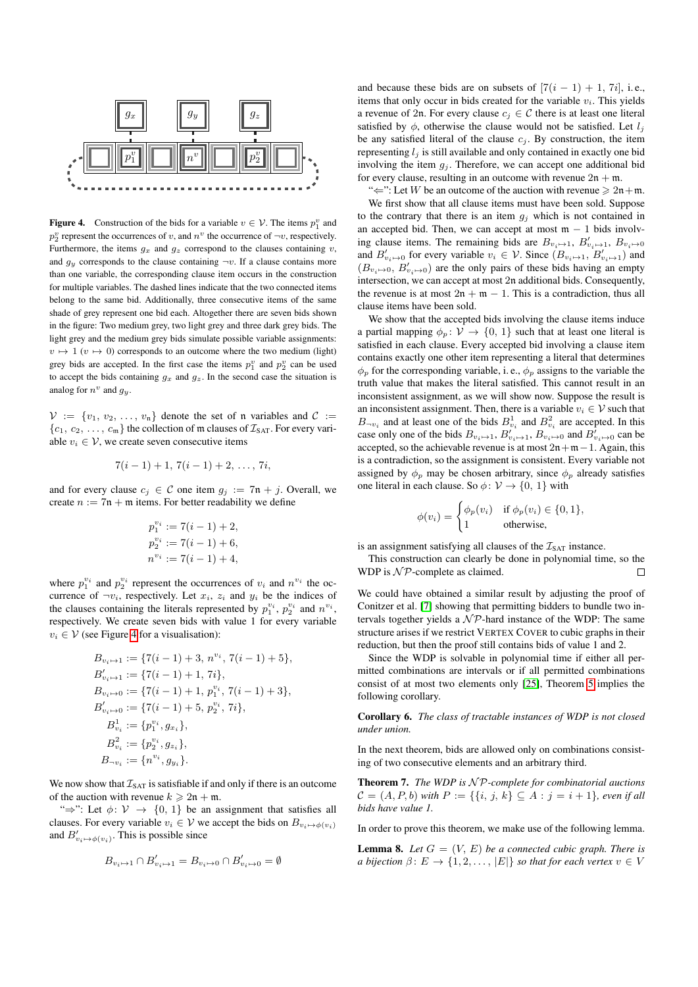

<span id="page-4-0"></span>**Figure 4.** Construction of the bids for a variable  $v \in V$ . The items  $p_1^v$  and  $p_2^v$  represent the occurrences of v, and  $n^v$  the occurrence of  $\neg v$ , respectively. Furthermore, the items  $g_x$  and  $g_z$  correspond to the clauses containing v, and  $g_y$  corresponds to the clause containing  $\neg v$ . If a clause contains more than one variable, the corresponding clause item occurs in the construction for multiple variables. The dashed lines indicate that the two connected items belong to the same bid. Additionally, three consecutive items of the same shade of grey represent one bid each. Altogether there are seven bids shown in the figure: Two medium grey, two light grey and three dark grey bids. The light grey and the medium grey bids simulate possible variable assignments:  $v \mapsto 1$  ( $v \mapsto 0$ ) corresponds to an outcome where the two medium (light) grey bids are accepted. In the first case the items  $p_1^v$  and  $p_2^v$  can be used to accept the bids containing  $g_x$  and  $g_z$ . In the second case the situation is analog for  $n^v$  and  $g_y$ .

 $\mathcal{V} := \{v_1, v_2, \ldots, v_n\}$  denote the set of n variables and  $\mathcal{C} :=$  $\{c_1, c_2, \ldots, c_m\}$  the collection of m clauses of  $\mathcal{I}_{\text{SAT}}$ . For every variable  $v_i \in V$ , we create seven consecutive items

$$
7(i-1)+1, 7(i-1)+2, \ldots, 7i,
$$

and for every clause  $c_i \in \mathcal{C}$  one item  $g_i := 7\mathfrak{n} + j$ . Overall, we create  $n := 7n + m$  items. For better readability we define

$$
p_1^{v_i} := 7(i - 1) + 2,
$$
  
\n
$$
p_2^{v_i} := 7(i - 1) + 6,
$$
  
\n
$$
n^{v_i} := 7(i - 1) + 4,
$$

where  $p_1^{v_i}$  and  $p_2^{v_i}$  represent the occurrences of  $v_i$  and  $n^{v_i}$  the occurrence of  $\neg v_i$ , respectively. Let  $x_i$ ,  $z_i$  and  $y_i$  be the indices of the clauses containing the literals represented by  $p_1^{v_i}$ ,  $p_2^{v_i}$  and  $n^{v_i}$ , respectively. We create seven bids with value 1 for every variable  $v_i \in V$  (see Figure [4](#page-4-0) for a visualisation):

$$
B_{v_i \mapsto 1} := \{7(i-1) + 3, n^{v_i}, 7(i-1) + 5\},
$$
  
\n
$$
B'_{v_i \mapsto 1} := \{7(i-1) + 1, 7i\},
$$
  
\n
$$
B_{v_i \mapsto 0} := \{7(i-1) + 1, p_1^{v_i}, 7(i-1) + 3\},
$$
  
\n
$$
B'_{v_i \mapsto 0} := \{7(i-1) + 5, p_2^{v_i}, 7i\},
$$
  
\n
$$
B_{v_i}^1 := \{p_1^{v_i}, g_{x_i}\},
$$
  
\n
$$
B_{v_i}^2 := \{p_2^{v_i}, g_{z_i}\},
$$
  
\n
$$
B_{\neg v_i} := \{n^{v_i}, g_{y_i}\}.
$$

We now show that  $\mathcal{I}_{\text{SAT}}$  is satisfiable if and only if there is an outcome of the auction with revenue  $k \geq 2n + m$ .

" $\Rightarrow$ ": Let  $\phi$ :  $\mathcal{V} \rightarrow \{0, 1\}$  be an assignment that satisfies all clauses. For every variable  $v_i \in V$  we accept the bids on  $B_{v_i \mapsto \phi(v_i)}$ and  $B'_{v_i \mapsto \phi(v_i)}$ . This is possible since

$$
B_{v_i \mapsto 1} \cap B'_{v_i \mapsto 1} = B_{v_i \mapsto 0} \cap B'_{v_i \mapsto 0} = \emptyset
$$

and because these bids are on subsets of  $[7(i - 1) + 1, 7i]$ , i.e., items that only occur in bids created for the variable  $v_i$ . This yields a revenue of 2n. For every clause  $c_i \in \mathcal{C}$  there is at least one literal satisfied by  $\phi$ , otherwise the clause would not be satisfied. Let  $l_i$ be any satisfied literal of the clause  $c_j$ . By construction, the item representing  $l_i$  is still available and only contained in exactly one bid involving the item  $g_j$ . Therefore, we can accept one additional bid for every clause, resulting in an outcome with revenue  $2n + m$ .

" $\Leftarrow$ ": Let W be an outcome of the auction with revenue  $\geq 2n+m$ .

We first show that all clause items must have been sold. Suppose to the contrary that there is an item  $q_i$  which is not contained in an accepted bid. Then, we can accept at most  $m - 1$  bids involving clause items. The remaining bids are  $B_{v_i \mapsto 1}$ ,  $B'_{v_i \mapsto 1}$ ,  $B_{v_i \mapsto 0}$ and  $B'_{v_i\mapsto 0}$  for every variable  $v_i \in V$ . Since  $(B_{v_i\mapsto 1}, B'_{v_i\mapsto 1})$  and  $(B_{v_i \mapsto 0}, B'_{v_i \mapsto 0})$  are the only pairs of these bids having an empty intersection, we can accept at most 2n additional bids. Consequently, the revenue is at most  $2n + m - 1$ . This is a contradiction, thus all clause items have been sold.

We show that the accepted bids involving the clause items induce a partial mapping  $\phi_n : \mathcal{V} \to \{0, 1\}$  such that at least one literal is satisfied in each clause. Every accepted bid involving a clause item contains exactly one other item representing a literal that determines  $\phi_p$  for the corresponding variable, i.e.,  $\phi_p$  assigns to the variable the truth value that makes the literal satisfied. This cannot result in an inconsistent assignment, as we will show now. Suppose the result is an inconsistent assignment. Then, there is a variable  $v_i \in V$  such that  $B_{\neg v_i}$  and at least one of the bids  $B_{v_i}^1$  and  $B_{v_i}^2$  are accepted. In this case only one of the bids  $B_{v_i \mapsto 1}$ ,  $B'_{v_i \mapsto 1}$ ,  $B_{v_i \mapsto 0}$  and  $B'_{v_i \mapsto 0}$  can be accepted, so the achievable revenue is at most  $2n+m-1$ . Again, this is a contradiction, so the assignment is consistent. Every variable not assigned by  $\phi_p$  may be chosen arbitrary, since  $\phi_p$  already satisfies one literal in each clause. So  $\phi \colon \mathcal{V} \to \{0, 1\}$  with

$$
\phi(v_i) = \begin{cases} \phi_p(v_i) & \text{if } \phi_p(v_i) \in \{0, 1\}, \\ 1 & \text{otherwise,} \end{cases}
$$

is an assignment satisfying all clauses of the  $I_{\text{SAT}}$  instance.

This construction can clearly be done in polynomial time, so the WDP is  $N$ P-complete as claimed.  $\Box$ 

We could have obtained a similar result by adjusting the proof of Conitzer et al. [\[7\]](#page-7-6) showing that permitting bidders to bundle two intervals together yields a  $N \mathcal{P}$ -hard instance of the WDP: The same structure arises if we restrict VERTEX COVER to cubic graphs in their reduction, but then the proof still contains bids of value 1 and 2.

Since the WDP is solvable in polynomial time if either all permitted combinations are intervals or if all permitted combinations consist of at most two elements only [\[25\]](#page-7-4), Theorem [5](#page-3-4) implies the following corollary.

Corollary 6. *The class of tractable instances of WDP is not closed under union.*

In the next theorem, bids are allowed only on combinations consisting of two consecutive elements and an arbitrary third.

<span id="page-4-2"></span>Theorem 7. *The WDP is*  $N$ *P*-complete for combinatorial auctions  $C = (A, P, b)$  *with*  $P := \{ \{i, j, k\} \subseteq A : j = i + 1 \}$ *, even if all bids have value 1.*

In order to prove this theorem, we make use of the following lemma.

<span id="page-4-1"></span>**Lemma 8.** Let  $G = (V, E)$  be a connected cubic graph. There is *a bijection*  $\beta: E \to \{1, 2, \ldots, |E|\}$  *so that for each vertex*  $v \in V$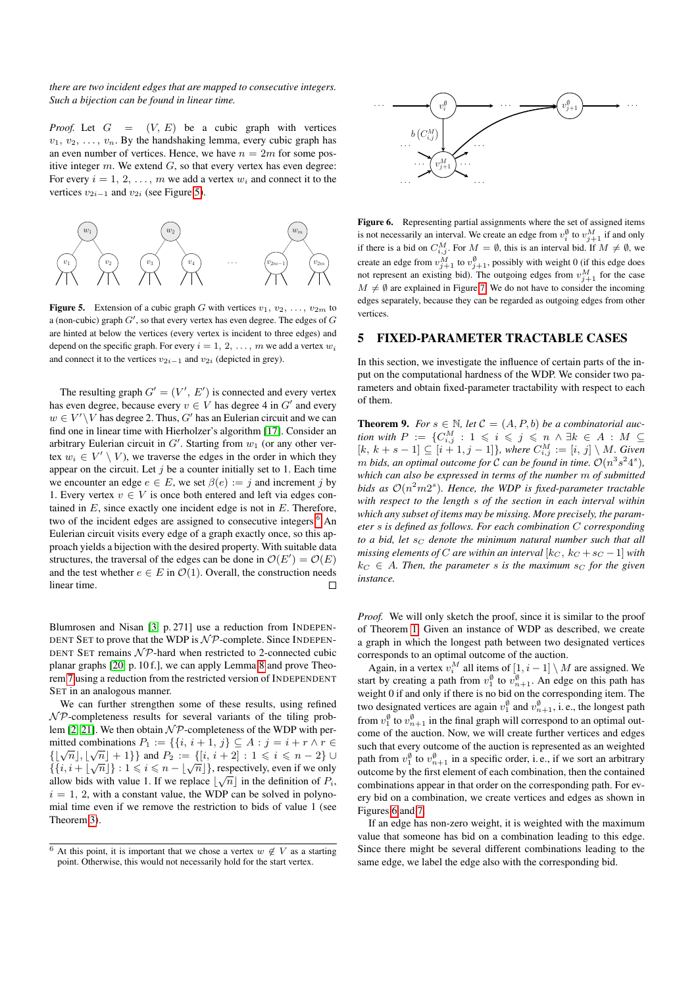#### *there are two incident edges that are mapped to consecutive integers. Such a bijection can be found in linear time.*

*Proof.* Let  $G = (V, E)$  be a cubic graph with vertices  $v_1, v_2, \ldots, v_n$ . By the handshaking lemma, every cubic graph has an even number of vertices. Hence, we have  $n = 2m$  for some positive integer  $m$ . We extend  $G$ , so that every vertex has even degree: For every  $i = 1, 2, \ldots, m$  we add a vertex  $w_i$  and connect it to the vertices  $v_{2i-1}$  and  $v_{2i}$  (see Figure [5\)](#page-5-2).



<span id="page-5-2"></span>**Figure 5.** Extension of a cubic graph G with vertices  $v_1, v_2, \ldots, v_{2m}$  to a (non-cubic) graph  $G'$ , so that every vertex has even degree. The edges of  $G$ are hinted at below the vertices (every vertex is incident to three edges) and depend on the specific graph. For every  $i = 1, 2, ..., m$  we add a vertex  $w_i$ and connect it to the vertices  $v_{2i-1}$  and  $v_{2i}$  (depicted in grey).

The resulting graph  $G' = (V', E')$  is connected and every vertex has even degree, because every  $v \in V$  has degree 4 in  $G'$  and every  $w \in V' \setminus V$  has degree 2. Thus,  $G'$  has an Eulerian circuit and we can find one in linear time with Hierholzer's algorithm [\[17\]](#page-7-19). Consider an arbitrary Eulerian circuit in  $G'$ . Starting from  $w_1$  (or any other vertex  $w_i \in V' \setminus V$ , we traverse the edges in the order in which they appear on the circuit. Let  $j$  be a counter initially set to 1. Each time we encounter an edge  $e \in E$ , we set  $\beta(e) := j$  and increment j by 1. Every vertex  $v \in V$  is once both entered and left via edges contained in  $E$ , since exactly one incident edge is not in  $E$ . Therefore, two of the incident edges are assigned to consecutive integers.<sup>[6](#page-5-3)</sup> An Eulerian circuit visits every edge of a graph exactly once, so this approach yields a bijection with the desired property. With suitable data structures, the traversal of the edges can be done in  $\mathcal{O}(E') = \mathcal{O}(E)$ and the test whether  $e \in E$  in  $\mathcal{O}(1)$ . Overall, the construction needs linear time.  $\Box$ 

Blumrosen and Nisan [\[3,](#page-7-20) p. 271] use a reduction from INDEPEN-DENT SET to prove that the WDP is  $N \mathcal{P}$ -complete. Since INDEPEN-DENT SET remains  $N\mathcal{P}$ -hard when restricted to 2-connected cubic planar graphs [\[20,](#page-7-21) p. 10 f.], we can apply Lemma [8](#page-4-1) and prove Theorem [7](#page-4-2) using a reduction from the restricted version of INDEPENDENT SET in an analogous manner.

We can further strengthen some of these results, using refined  $\mathcal{NP}$ -completeness results for several variants of the tiling prob-lem [\[2,](#page-7-22) [21\]](#page-7-23). We then obtain  $\mathcal{NP}$ -completeness of the WDP with permitted combinations  $P_1 := \{ \{i, i+1, j\} \subseteq A : j = i + r \land r \in \mathbb{N} \}$ inities combinations  $P_1 := \{ \{i, i + 1, j\} \subseteq A : j = i + r \land r \in$ <br> $\{[\sqrt{n}], [\sqrt{n}] + 1 \}$  and  $P_2 := \{ [i, i + 2] : 1 \le i \le n - 2 \}$  ${V(n, [N] + 1}$  and  ${I_2 = \{[i, i + 2] : 1 \le i \le n - 2}$  or<br> ${i, i + [\sqrt{n}]\} : 1 \le i \le n - [\sqrt{n}]\}$ , respectively, even if we only allow bids with value 1. If we replace  $\lfloor \sqrt{n} \rfloor$  in the definition of  $P_i$ ,  $i = 1, 2$ , with a constant value, the WDP can be solved in polynomial time even if we remove the restriction to bids of value 1 (see Theorem [3\)](#page-3-2).



<span id="page-5-4"></span>Figure 6. Representing partial assignments where the set of assigned items is not necessarily an interval. We create an edge from  $v_i^{\emptyset}$  to  $v_{j+1}^M$  if and only if there is a bid on  $C_{i,j}^M$ . For  $M = \emptyset$ , this is an interval bid. If  $M \neq \emptyset$ , we create an edge from  $v_{j+1}^M$  to  $v_{j+1}^{\emptyset}$ , possibly with weight 0 (if this edge does not represent an existing bid). The outgoing edges from  $v_{j+1}^M$  for the case  $M \neq \emptyset$  are explained in Figure [7.](#page-6-2) We do not have to consider the incoming edges separately, because they can be regarded as outgoing edges from other vertices.

#### <span id="page-5-0"></span>5 FIXED-PARAMETER TRACTABLE CASES

In this section, we investigate the influence of certain parts of the input on the computational hardness of the WDP. We consider two parameters and obtain fixed-parameter tractability with respect to each of them.

<span id="page-5-1"></span>**Theorem 9.** *For*  $s \in \mathbb{N}$ , *let*  $\mathcal{C} = (A, P, b)$  *be a combinatorial auc-* $\emph{tion with } P := \{ C_{i,j}^M \, : \, 1 \leqslant i \leqslant j \leqslant n \, \wedge \exists k \in A : M \subseteq I \}$  $[k, k + s - 1] ⊆ [i + 1, j - 1]$ , where  $C_{i,j}^{M} := [i, j] \setminus M$ . Given *m* bids, an optimal outcome for C can be found in time.  $\mathcal{O}(n^3 s^2 4^s)$ , *which can also be expressed in terms of the number* m *of submitted* bids as  $O(n^2m2^s)$ . Hence, the WDP is fixed-parameter tractable *with respect to the length* s *of the section in each interval within which any subset of items may be missing. More precisely, the parameter* s *is defined as follows. For each combination* C *corresponding to a bid, let*  $s_C$  *denote the minimum natural number such that all missing elements of* C are within an interval  $[k_C, k_C + s_C - 1]$  with  $k_C \in A$ . Then, the parameter *s* is the maximum  $s_C$  for the given *instance.*

*Proof.* We will only sketch the proof, since it is similar to the proof of Theorem [1.](#page-2-3) Given an instance of WDP as described, we create a graph in which the longest path between two designated vertices corresponds to an optimal outcome of the auction.

Again, in a vertex  $v_i^M$  all items of  $[1, i - 1] \setminus M$  are assigned. We start by creating a path from  $v_1^{\emptyset}$  to  $v_{n+1}^{\emptyset}$ . An edge on this path has weight 0 if and only if there is no bid on the corresponding item. The two designated vertices are again  $v_1^{\emptyset}$  and  $v_{n+1}^{\emptyset}$ , i.e., the longest path from  $v_1^{\emptyset}$  to  $v_{n+1}^{\emptyset}$  in the final graph will correspond to an optimal outcome of the auction. Now, we will create further vertices and edges such that every outcome of the auction is represented as an weighted path from  $v_1^{\emptyset}$  to  $v_{n+1}^{\emptyset}$  in a specific order, i.e., if we sort an arbitrary outcome by the first element of each combination, then the contained combinations appear in that order on the corresponding path. For every bid on a combination, we create vertices and edges as shown in Figures [6](#page-5-4) and [7.](#page-6-2)

If an edge has non-zero weight, it is weighted with the maximum value that someone has bid on a combination leading to this edge. Since there might be several different combinations leading to the same edge, we label the edge also with the corresponding bid.

<span id="page-5-3"></span><sup>&</sup>lt;sup>6</sup> At this point, it is important that we chose a vertex  $w \notin V$  as a starting point. Otherwise, this would not necessarily hold for the start vertex.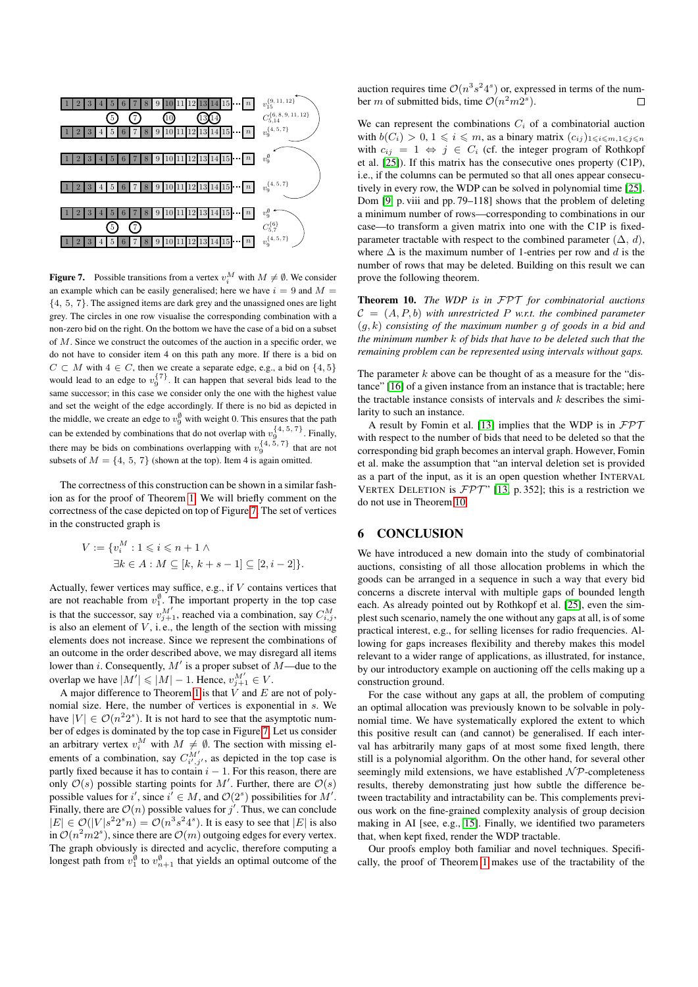

<span id="page-6-2"></span>**Figure 7.** Possible transitions from a vertex  $v_i^M$  with  $M \neq \emptyset$ . We consider an example which can be easily generalised; here we have  $i = 9$  and  $M =$  ${4, 5, 7}$ . The assigned items are dark grey and the unassigned ones are light grey. The circles in one row visualise the corresponding combination with a non-zero bid on the right. On the bottom we have the case of a bid on a subset of M. Since we construct the outcomes of the auction in a specific order, we do not have to consider item 4 on this path any more. If there is a bid on  $C \subset M$  with  $4 \in C$ , then we create a separate edge, e.g., a bid on  $\{4, 5\}$ would lead to an edge to  $v_9^{\{7\}}$ . It can happen that several bids lead to the same successor; in this case we consider only the one with the highest value and set the weight of the edge accordingly. If there is no bid as depicted in the middle, we create an edge to  $v_9^{\emptyset}$  with weight 0. This ensures that the path can be extended by combinations that do not overlap with  $v_9^{\{4,5,7\}}$ . Finally, 9 there may be bids on combinations overlapping with  $v_9^{\{4, 5, 7\}}$  that are not subsets of  $M = \{4, 5, 7\}$  (shown at the top). Item 4 is again omitted.

The correctness of this construction can be shown in a similar fashion as for the proof of Theorem [1.](#page-2-3) We will briefly comment on the correctness of the case depicted on top of Figure [7.](#page-6-2) The set of vertices in the constructed graph is

$$
V := \{v_i^M : 1 \le i \le n+1 \land
$$
  
\n
$$
\exists k \in A : M \subseteq [k, k+s-1] \subseteq [2, i-2] \}.
$$

Actually, fewer vertices may suffice, e.g., if V contains vertices that are not reachable from  $v_1^{\emptyset}$ . The important property in the top case is that the successor, say  $v_{j+1}^{M'}$ , reached via a combination, say  $C_{i,j}^{M'}$ , is also an element of  $V$ , i.e., the length of the section with missing elements does not increase. Since we represent the combinations of an outcome in the order described above, we may disregard all items lower than *i*. Consequently,  $M'$  is a proper subset of  $M$ —due to the overlap we have  $|M'| \leqslant |M| - 1$ . Hence,  $v_{j+1}^{M'} \in V$ .

A major difference to Theorem [1](#page-2-3) is that  $V$  and  $E$  are not of polynomial size. Here, the number of vertices is exponential in s. We have  $|V| \in \mathcal{O}(n^2 2^s)$ . It is not hard to see that the asymptotic number of edges is dominated by the top case in Figure [7.](#page-6-2) Let us consider an arbitrary vertex  $v_i^M$  with  $M \neq \emptyset$ . The section with missing elements of a combination, say  $C_{i',j'}^{M'}$ , as depicted in the top case is partly fixed because it has to contain  $i - 1$ . For this reason, there are only  $\mathcal{O}(s)$  possible starting points for M'. Further, there are  $\mathcal{O}(s)$ possible values for i', since  $i' \in M$ , and  $\mathcal{O}(2<sup>s</sup>)$  possibilities for M'. Finally, there are  $\mathcal{O}(n)$  possible values for j'. Thus, we can conclude  $|E| \in \mathcal{O}(|V|s^2 2^s n) = \mathcal{O}(n^3 s^2 4^s)$ . It is easy to see that  $|E|$  is also in  $\mathcal{O}(n^2m^2)$ , since there are  $\mathcal{O}(m)$  outgoing edges for every vertex. The graph obviously is directed and acyclic, therefore computing a longest path from  $v_1^{\emptyset}$  to  $v_{n+1}^{\emptyset}$  that yields an optimal outcome of the

auction requires time  $\mathcal{O}(n^3 s^2 4^s)$  or, expressed in terms of the number *m* of submitted bids, time  $\mathcal{O}(n^2m2^s)$ .  $\Box$ 

We can represent the combinations  $C_i$  of a combinatorial auction with  $b(C_i) > 0, 1 \leq i \leq m$ , as a binary matrix  $(c_{ij})_{1 \leq i \leq m, 1 \leq j \leq n}$ with  $c_{ij} = 1 \Leftrightarrow j \in C_i$  (cf. the integer program of Rothkopf et al. [\[25\]](#page-7-4)). If this matrix has the consecutive ones property (C1P), i.e., if the columns can be permuted so that all ones appear consecutively in every row, the WDP can be solved in polynomial time [\[25\]](#page-7-4). Dom [\[9,](#page-7-24) p. viii and pp. 79–118] shows that the problem of deleting a minimum number of rows—corresponding to combinations in our case—to transform a given matrix into one with the C1P is fixedparameter tractable with respect to the combined parameter  $(\Delta, d)$ , where  $\Delta$  is the maximum number of 1-entries per row and d is the number of rows that may be deleted. Building on this result we can prove the following theorem.

<span id="page-6-0"></span>Theorem 10. *The WDP is in* FPT *for combinatorial auctions*  $C = (A, P, b)$  *with unrestricted P w.r.t. the combined parameter* (g, k) *consisting of the maximum number* g *of goods in a bid and the minimum number* k *of bids that have to be deleted such that the remaining problem can be represented using intervals without gaps.*

The parameter  $k$  above can be thought of as a measure for the "distance" [\[16\]](#page-7-25) of a given instance from an instance that is tractable; here the tractable instance consists of intervals and  $k$  describes the similarity to such an instance.

A result by Fomin et al. [\[13\]](#page-7-26) implies that the WDP is in  $\mathcal{FPT}$ with respect to the number of bids that need to be deleted so that the corresponding bid graph becomes an interval graph. However, Fomin et al. make the assumption that "an interval deletion set is provided as a part of the input, as it is an open question whether INTERVAL VERTEX DELETION is  $FPT'$  [\[13,](#page-7-26) p. 352]; this is a restriction we do not use in Theorem [10.](#page-6-0)

# <span id="page-6-1"></span>6 CONCLUSION

We have introduced a new domain into the study of combinatorial auctions, consisting of all those allocation problems in which the goods can be arranged in a sequence in such a way that every bid concerns a discrete interval with multiple gaps of bounded length each. As already pointed out by Rothkopf et al. [\[25\]](#page-7-4), even the simplest such scenario, namely the one without any gaps at all, is of some practical interest, e.g., for selling licenses for radio frequencies. Allowing for gaps increases flexibility and thereby makes this model relevant to a wider range of applications, as illustrated, for instance, by our introductory example on auctioning off the cells making up a construction ground.

For the case without any gaps at all, the problem of computing an optimal allocation was previously known to be solvable in polynomial time. We have systematically explored the extent to which this positive result can (and cannot) be generalised. If each interval has arbitrarily many gaps of at most some fixed length, there still is a polynomial algorithm. On the other hand, for several other seemingly mild extensions, we have established  $\mathcal{NP}$ -completeness results, thereby demonstrating just how subtle the difference between tractability and intractability can be. This complements previous work on the fine-grained complexity analysis of group decision making in AI [see, e.g., [15\]](#page-7-27). Finally, we identified two parameters that, when kept fixed, render the WDP tractable.

Our proofs employ both familiar and novel techniques. Specifically, the proof of Theorem [1](#page-2-3) makes use of the tractability of the